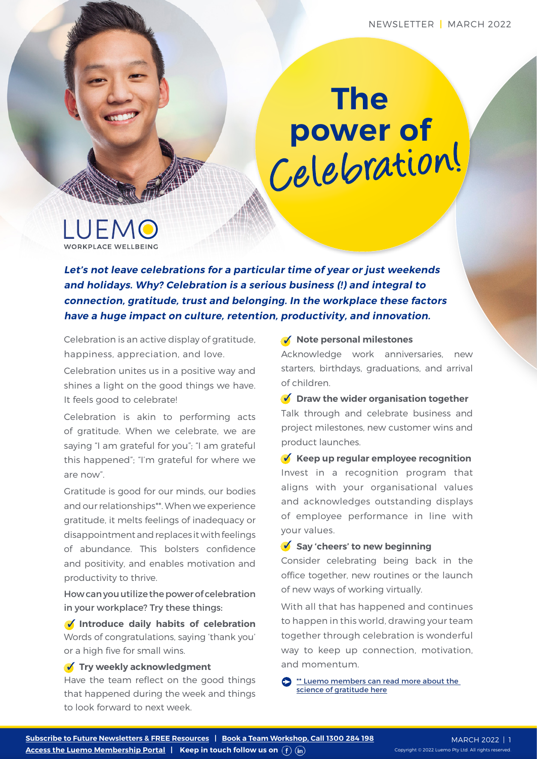## **The power of** Celebration!

LUEMO

**Let's not leave celebrations for a particular time of year or just weekends and holidays. Why? Celebration is a serious business (!) and integral to connection, gratitude, trust and belonging. In the workplace these factors have a huge impact on culture, retention, productivity, and innovation.**

Celebration is an active display of gratitude, happiness, appreciation, and love.

Celebration unites us in a positive way and shines a light on the good things we have. It feels good to celebrate!

Celebration is akin to performing acts of gratitude. When we celebrate, we are saying "I am grateful for you"; "I am grateful this happened"; "I'm grateful for where we are now".

Gratitude is good for our minds, our bodies and our relationships\*\*. When we experience gratitude, it melts feelings of inadequacy or disappointment and replaces it with feelings of abundance. This bolsters confidence and positivity, and enables motivation and productivity to thrive.

How can you utilize the power of celebration in your workplace? Try these things:

**Introduce daily habits of celebration**  Words of congratulations, saying 'thank you' or a high five for small wins.

**Try weekly acknowledgment** 

Have the team reflect on the good things that happened during the week and things to look forward to next week.

**Note personal milestones**

Acknowledge work anniversaries, new starters, birthdays, graduations, and arrival of children.

**V** Draw the wider organisation together Talk through and celebrate business and project milestones, new customer wins and product launches.

**Keep up regular employee recognition** Invest in a recognition program that aligns with your organisational values and acknowledges outstanding displays of employee performance in line with your values.

## **Say 'cheers' to new beginning**

Consider celebrating being back in the office together, new routines or the launch of new ways of working virtually.

With all that has happened and continues to happen in this world, drawing your team together through celebration is wonderful way to keep up connection, motivation, and momentum.

 $\sum$  \*\* Luemo members can read more about the [science of gratitude here](https://luemo.com.au/resource/the-proven-benefits-of-gratitude/)